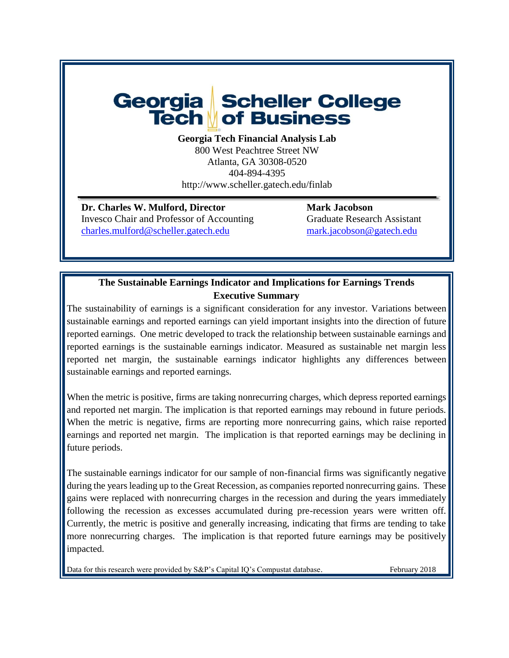# Georgia Scheller College **Tech of Business**

**Georgia Tech Financial Analysis Lab**

800 West Peachtree Street NW Atlanta, GA 30308-0520 404-894-4395 http://www.scheller.gatech.edu/finlab

**Dr. Charles W. Mulford, Director Mark Jacobson** Invesco Chair and Professor of Accounting Graduate Research Assistant [charles.mulford@scheller.gatech.edu](mailto:charles.mulford@scheller.gatech.edu) [mark.jacobson@gatech.edu](mailto:mark.jacobson@gatech.edu)

# **The Sustainable Earnings Indicator and Implications for Earnings Trends Executive Summary**

The sustainability of earnings is a significant consideration for any investor. Variations between sustainable earnings and reported earnings can yield important insights into the direction of future reported earnings. One metric developed to track the relationship between sustainable earnings and reported earnings is the sustainable earnings indicator. Measured as sustainable net margin less reported net margin, the sustainable earnings indicator highlights any differences between sustainable earnings and reported earnings.

When the metric is positive, firms are taking nonrecurring charges, which depress reported earnings and reported net margin. The implication is that reported earnings may rebound in future periods. When the metric is negative, firms are reporting more nonrecurring gains, which raise reported earnings and reported net margin. The implication is that reported earnings may be declining in future periods.

The sustainable earnings indicator for our sample of non-financial firms was significantly negative during the years leading up to the Great Recession, as companies reported nonrecurring gains. These gains were replaced with nonrecurring charges in the recession and during the years immediately following the recession as excesses accumulated during pre-recession years were written off. Currently, the metric is positive and generally increasing, indicating that firms are tending to take more nonrecurring charges. The implication is that reported future earnings may be positively impacted.

Data for this research were provided by S&P's Capital IQ's Compustat database. February 2018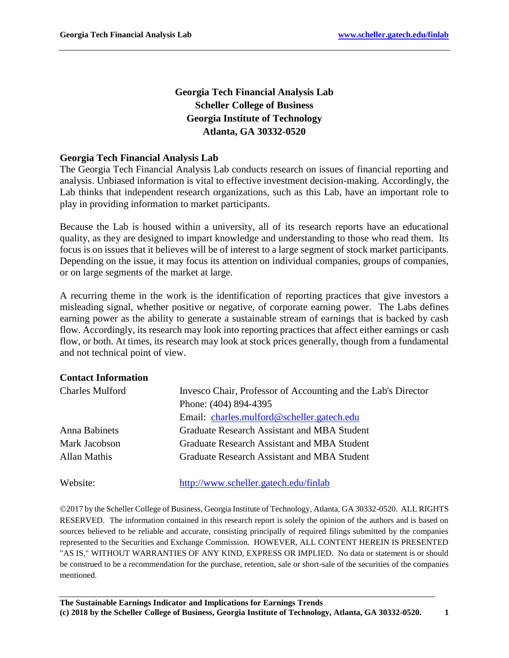# **Georgia Tech Financial Analysis Lab Scheller College of Business Georgia Institute of Technology Atlanta, GA 30332-0520**

#### **Georgia Tech Financial Analysis Lab**

The Georgia Tech Financial Analysis Lab conducts research on issues of financial reporting and analysis. Unbiased information is vital to effective investment decision-making. Accordingly, the Lab thinks that independent research organizations, such as this Lab, have an important role to play in providing information to market participants.

Because the Lab is housed within a university, all of its research reports have an educational quality, as they are designed to impart knowledge and understanding to those who read them. Its focus is on issues that it believes will be of interest to a large segment of stock market participants. Depending on the issue, it may focus its attention on individual companies, groups of companies, or on large segments of the market at large.

A recurring theme in the work is the identification of reporting practices that give investors a misleading signal, whether positive or negative, of corporate earning power. The Labs defines earning power as the ability to generate a sustainable stream of earnings that is backed by cash flow. Accordingly, its research may look into reporting practices that affect either earnings or cash flow, or both. At times, its research may look at stock prices generally, though from a fundamental and not technical point of view.

#### **Contact Information**

| <b>Charles Mulford</b> | Invesco Chair, Professor of Accounting and the Lab's Director |
|------------------------|---------------------------------------------------------------|
|                        | Phone: (404) 894-4395                                         |
|                        | Email: charles.mulford@scheller.gatech.edu                    |
| Anna Babinets          | Graduate Research Assistant and MBA Student                   |
| Mark Jacobson          | Graduate Research Assistant and MBA Student                   |
| Allan Mathis           | Graduate Research Assistant and MBA Student                   |
| Website:               | http://www.scheller.gatech.edu/finlab                         |

2017 by the Scheller College of Business, Georgia Institute of Technology, Atlanta, GA 30332-0520. ALL RIGHTS RESERVED. The information contained in this research report is solely the opinion of the authors and is based on sources believed to be reliable and accurate, consisting principally of required filings submitted by the companies represented to the Securities and Exchange Commission. HOWEVER, ALL CONTENT HEREIN IS PRESENTED "AS IS," WITHOUT WARRANTIES OF ANY KIND, EXPRESS OR IMPLIED. No data or statement is or should be construed to be a recommendation for the purchase, retention, sale or short-sale of the securities of the companies mentioned.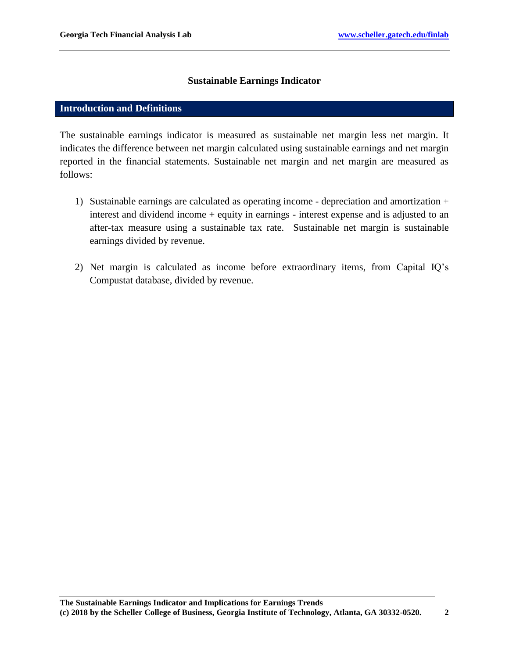#### **Sustainable Earnings Indicator**

#### **Introduction and Definitions**

The sustainable earnings indicator is measured as sustainable net margin less net margin. It indicates the difference between net margin calculated using sustainable earnings and net margin reported in the financial statements. Sustainable net margin and net margin are measured as follows:

- 1) Sustainable earnings are calculated as operating income depreciation and amortization + interest and dividend income + equity in earnings - interest expense and is adjusted to an after-tax measure using a sustainable tax rate. Sustainable net margin is sustainable earnings divided by revenue.
- 2) Net margin is calculated as income before extraordinary items, from Capital IQ's Compustat database, divided by revenue.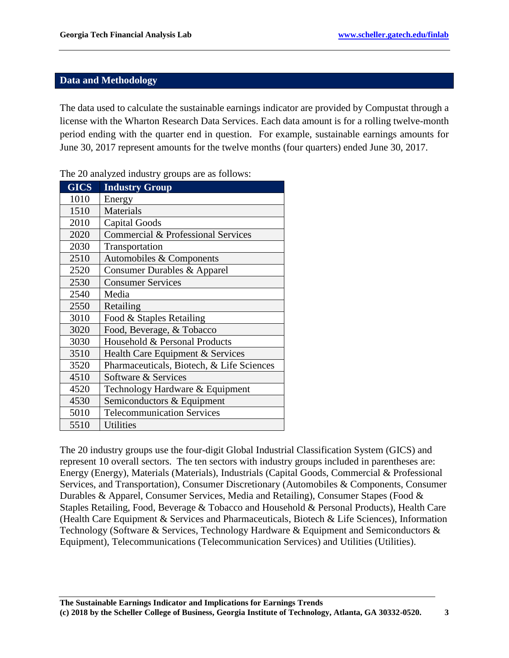## **Data and Methodology**

The data used to calculate the sustainable earnings indicator are provided by Compustat through a license with the Wharton Research Data Services. Each data amount is for a rolling twelve-month period ending with the quarter end in question. For example, sustainable earnings amounts for June 30, 2017 represent amounts for the twelve months (four quarters) ended June 30, 2017.

| <b>GICS</b> | <b>Industry Group</b>                     |
|-------------|-------------------------------------------|
| 1010        | Energy                                    |
| 1510        | <b>Materials</b>                          |
| 2010        | <b>Capital Goods</b>                      |
| 2020        | Commercial & Professional Services        |
| 2030        | Transportation                            |
| 2510        | Automobiles & Components                  |
| 2520        | Consumer Durables & Apparel               |
| 2530        | <b>Consumer Services</b>                  |
| 2540        | Media                                     |
| 2550        | Retailing                                 |
| 3010        | Food & Staples Retailing                  |
| 3020        | Food, Beverage, & Tobacco                 |
| 3030        | Household & Personal Products             |
| 3510        | Health Care Equipment & Services          |
| 3520        | Pharmaceuticals, Biotech, & Life Sciences |
| 4510        | Software & Services                       |
| 4520        | Technology Hardware & Equipment           |
| 4530        | Semiconductors & Equipment                |
| 5010        | <b>Telecommunication Services</b>         |
| 5510        | <b>Utilities</b>                          |

The 20 analyzed industry groups are as follows:

The 20 industry groups use the four-digit Global Industrial Classification System (GICS) and represent 10 overall sectors. The ten sectors with industry groups included in parentheses are: Energy (Energy), Materials (Materials), Industrials (Capital Goods, Commercial & Professional Services, and Transportation), Consumer Discretionary (Automobiles & Components, Consumer Durables & Apparel, Consumer Services, Media and Retailing), Consumer Stapes (Food & Staples Retailing, Food, Beverage & Tobacco and Household & Personal Products), Health Care (Health Care Equipment & Services and Pharmaceuticals, Biotech & Life Sciences), Information Technology (Software & Services, Technology Hardware & Equipment and Semiconductors & Equipment), Telecommunications (Telecommunication Services) and Utilities (Utilities).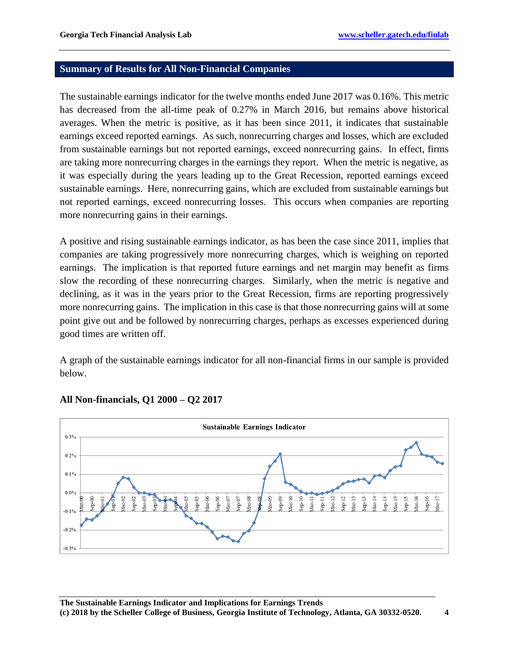#### **Summary of Results for All Non-Financial Companies**

The sustainable earnings indicator for the twelve months ended June 2017 was 0.16%. This metric has decreased from the all-time peak of 0.27% in March 2016, but remains above historical averages. When the metric is positive, as it has been since 2011, it indicates that sustainable earnings exceed reported earnings. As such, nonrecurring charges and losses, which are excluded from sustainable earnings but not reported earnings, exceed nonrecurring gains. In effect, firms are taking more nonrecurring charges in the earnings they report. When the metric is negative, as it was especially during the years leading up to the Great Recession, reported earnings exceed sustainable earnings. Here, nonrecurring gains, which are excluded from sustainable earnings but not reported earnings, exceed nonrecurring losses. This occurs when companies are reporting more nonrecurring gains in their earnings.

A positive and rising sustainable earnings indicator, as has been the case since 2011, implies that companies are taking progressively more nonrecurring charges, which is weighing on reported earnings. The implication is that reported future earnings and net margin may benefit as firms slow the recording of these nonrecurring charges. Similarly, when the metric is negative and declining, as it was in the years prior to the Great Recession, firms are reporting progressively more nonrecurring gains. The implication in this case is that those nonrecurring gains will at some point give out and be followed by nonrecurring charges, perhaps as excesses experienced during good times are written off.

A graph of the sustainable earnings indicator for all non-financial firms in our sample is provided below.



## **All Non-financials, Q1 2000 – Q2 2017**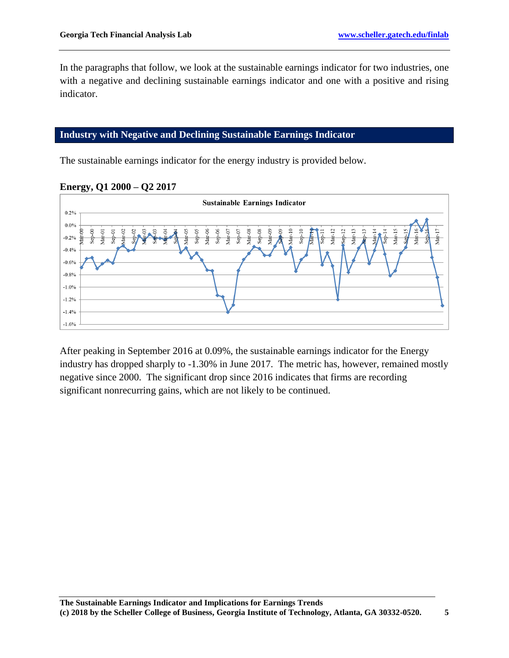In the paragraphs that follow, we look at the sustainable earnings indicator for two industries, one with a negative and declining sustainable earnings indicator and one with a positive and rising indicator.

#### **Industry with Negative and Declining Sustainable Earnings Indicator**

The sustainable earnings indicator for the energy industry is provided below.



## **Energy, Q1 2000 – Q2 2017**

After peaking in September 2016 at 0.09%, the sustainable earnings indicator for the Energy industry has dropped sharply to -1.30% in June 2017. The metric has, however, remained mostly negative since 2000. The significant drop since 2016 indicates that firms are recording significant nonrecurring gains, which are not likely to be continued.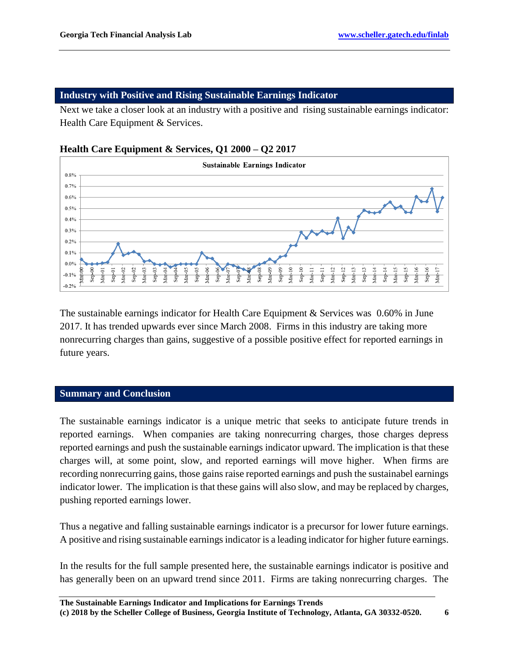#### **Industry with Positive and Rising Sustainable Earnings Indicator**

Next we take a closer look at an industry with a positive and rising sustainable earnings indicator: Health Care Equipment & Services.

#### **Health Care Equipment & Services, Q1 2000 – Q2 2017**



The sustainable earnings indicator for Health Care Equipment & Services was 0.60% in June 2017. It has trended upwards ever since March 2008. Firms in this industry are taking more nonrecurring charges than gains, suggestive of a possible positive effect for reported earnings in future years.

#### **Summary and Conclusion**

The sustainable earnings indicator is a unique metric that seeks to anticipate future trends in reported earnings. When companies are taking nonrecurring charges, those charges depress reported earnings and push the sustainable earnings indicator upward. The implication is that these charges will, at some point, slow, and reported earnings will move higher. When firms are recording nonrecurring gains, those gains raise reported earnings and push the sustainabel earnings indicator lower. The implication is that these gains will also slow, and may be replaced by charges, pushing reported earnings lower.

Thus a negative and falling sustainable earnings indicator is a precursor for lower future earnings. A positive and rising sustainable earnings indicator is a leading indicator for higher future earnings.

In the results for the full sample presented here, the sustainable earnings indicator is positive and has generally been on an upward trend since 2011. Firms are taking nonrecurring charges. The